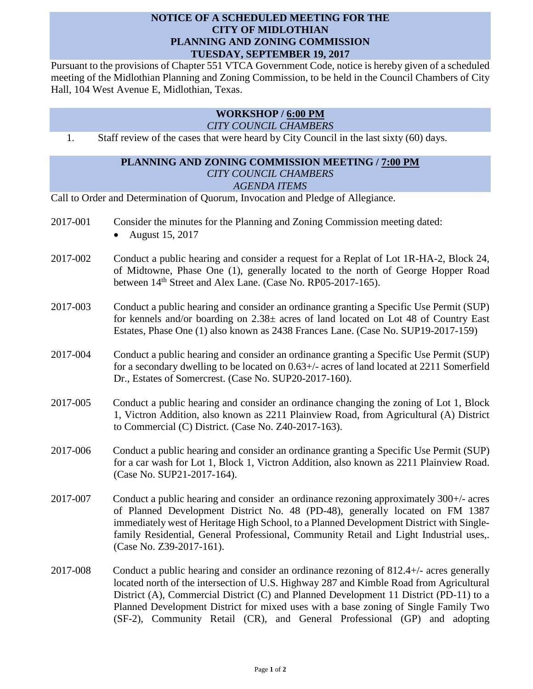# **NOTICE OF A SCHEDULED MEETING FOR THE CITY OF MIDLOTHIAN PLANNING AND ZONING COMMISSION TUESDAY, SEPTEMBER 19, 2017**

Pursuant to the provisions of Chapter 551 VTCA Government Code, notice is hereby given of a scheduled meeting of the Midlothian Planning and Zoning Commission, to be held in the Council Chambers of City Hall, 104 West Avenue E, Midlothian, Texas.

# **WORKSHOP / 6:00 PM**

#### *CITY COUNCIL CHAMBERS*

1. Staff review of the cases that were heard by City Council in the last sixty (60) days.

# **PLANNING AND ZONING COMMISSION MEETING / 7:00 PM** *CITY COUNCIL CHAMBERS*

#### *AGENDA ITEMS*

Call to Order and Determination of Quorum, Invocation and Pledge of Allegiance.

- 2017-001 Consider the minutes for the Planning and Zoning Commission meeting dated:
	- August 15, 2017
- 2017-002 Conduct a public hearing and consider a request for a Replat of Lot 1R-HA-2, Block 24, of Midtowne, Phase One (1), generally located to the north of George Hopper Road between  $14<sup>th</sup>$  Street and Alex Lane. (Case No. RP05-2017-165).
- 2017-003 Conduct a public hearing and consider an ordinance granting a Specific Use Permit (SUP) for kennels and/or boarding on 2.38± acres of land located on Lot 48 of Country East Estates, Phase One (1) also known as 2438 Frances Lane. (Case No. SUP19-2017-159)
- 2017-004 Conduct a public hearing and consider an ordinance granting a Specific Use Permit (SUP) for a secondary dwelling to be located on 0.63+/- acres of land located at 2211 Somerfield Dr., Estates of Somercrest. (Case No. SUP20-2017-160).
- 2017-005 Conduct a public hearing and consider an ordinance changing the zoning of Lot 1, Block 1, Victron Addition, also known as 2211 Plainview Road, from Agricultural (A) District to Commercial (C) District. (Case No. Z40-2017-163).
- 2017-006 Conduct a public hearing and consider an ordinance granting a Specific Use Permit (SUP) for a car wash for Lot 1, Block 1, Victron Addition, also known as 2211 Plainview Road. (Case No. SUP21-2017-164).
- 2017-007 Conduct a public hearing and consider an ordinance rezoning approximately 300+/- acres of Planned Development District No. 48 (PD-48), generally located on FM 1387 immediately west of Heritage High School, to a Planned Development District with Singlefamily Residential, General Professional, Community Retail and Light Industrial uses,. (Case No. Z39-2017-161).
- 2017-008 Conduct a public hearing and consider an ordinance rezoning of 812.4+/- acres generally located north of the intersection of U.S. Highway 287 and Kimble Road from Agricultural District (A), Commercial District (C) and Planned Development 11 District (PD-11) to a Planned Development District for mixed uses with a base zoning of Single Family Two (SF-2), Community Retail (CR), and General Professional (GP) and adopting